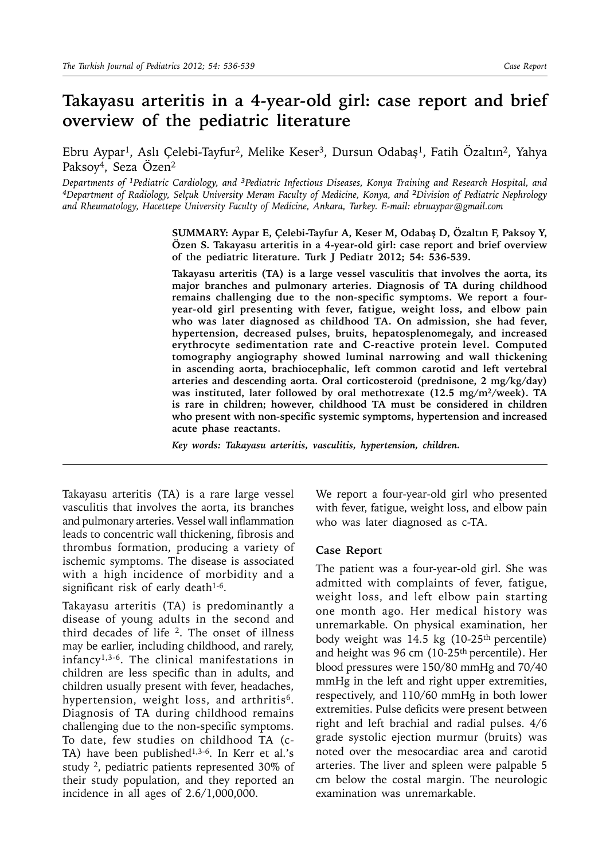## **Takayasu arteritis in a 4-year-old girl: case report and brief overview of the pediatric literature**

Ebru Aypar1, Aslı Çelebi-Tayfur2, Melike Keser3, Dursun Odabaş1, Fatih Özaltın2, Yahya Paksoy4, Seza Özen2

*Departments of 1Pediatric Cardiology, and 3Pediatric Infectious Diseases, Konya Training and Research Hospital, and <sup>4</sup>Department of Radiology, Selçuk University Meram Faculty of Medicine, Konya, and <sup>2</sup>Division of Pediatric Nephrology and Rheumatology, Hacettepe University Faculty of Medicine, Ankara, Turkey. E-mail: ebruaypar@gmail.com*

> **SUMMARY: Aypar E, Çelebi-Tayfur A, Keser M, Odabaş D, Özaltın F, Paksoy Y, Özen S. Takayasu arteritis in a 4-year-old girl: case report and brief overview of the pediatric literature. Turk J Pediatr 2012; 54: 536-539.**

> **Takayasu arteritis (TA) is a large vessel vasculitis that involves the aorta, its major branches and pulmonary arteries. Diagnosis of TA during childhood remains challenging due to the non-specific symptoms. We report a fouryear-old girl presenting with fever, fatigue, weight loss, and elbow pain who was later diagnosed as childhood TA. On admission, she had fever, hypertension, decreased pulses, bruits, hepatosplenomegaly, and increased erythrocyte sedimentation rate and C-reactive protein level. Computed tomography angiography showed luminal narrowing and wall thickening in ascending aorta, brachiocephalic, left common carotid and left vertebral arteries and descending aorta. Oral corticosteroid (prednisone, 2 mg/kg/day) was instituted, later followed by oral methotrexate (12.5 mg/m2/week). TA is rare in children; however, childhood TA must be considered in children who present with non-specific systemic symptoms, hypertension and increased acute phase reactants.**

*Key words: Takayasu arteritis, vasculitis, hypertension, children.*

Takayasu arteritis (TA) is a rare large vessel vasculitis that involves the aorta, its branches and pulmonary arteries. Vessel wall inflammation leads to concentric wall thickening, fibrosis and thrombus formation, producing a variety of ischemic symptoms. The disease is associated with a high incidence of morbidity and a significant risk of early death $1-6$ .

Takayasu arteritis (TA) is predominantly a disease of young adults in the second and third decades of life  $2$ . The onset of illness may be earlier, including childhood, and rarely, infancy1,3-6. The clinical manifestations in children are less specific than in adults, and children usually present with fever, headaches, hypertension, weight loss, and arthritis<sup>6</sup>. Diagnosis of TA during childhood remains challenging due to the non-specific symptoms. To date, few studies on childhood TA (c-TA) have been published<sup>1,3-6</sup>. In Kerr et al.'s study 2, pediatric patients represented 30% of their study population, and they reported an incidence in all ages of 2.6/1,000,000.

We report a four-year-old girl who presented with fever, fatigue, weight loss, and elbow pain who was later diagnosed as c-TA.

## **Case Report**

The patient was a four-year-old girl. She was admitted with complaints of fever, fatigue, weight loss, and left elbow pain starting one month ago. Her medical history was unremarkable. On physical examination, her body weight was 14.5 kg (10-25<sup>th</sup> percentile) and height was 96 cm (10-25<sup>th</sup> percentile). Her blood pressures were 150/80 mmHg and 70/40 mmHg in the left and right upper extremities, respectively, and 110/60 mmHg in both lower extremities. Pulse deficits were present between right and left brachial and radial pulses. 4/6 grade systolic ejection murmur (bruits) was noted over the mesocardiac area and carotid arteries. The liver and spleen were palpable 5 cm below the costal margin. The neurologic examination was unremarkable.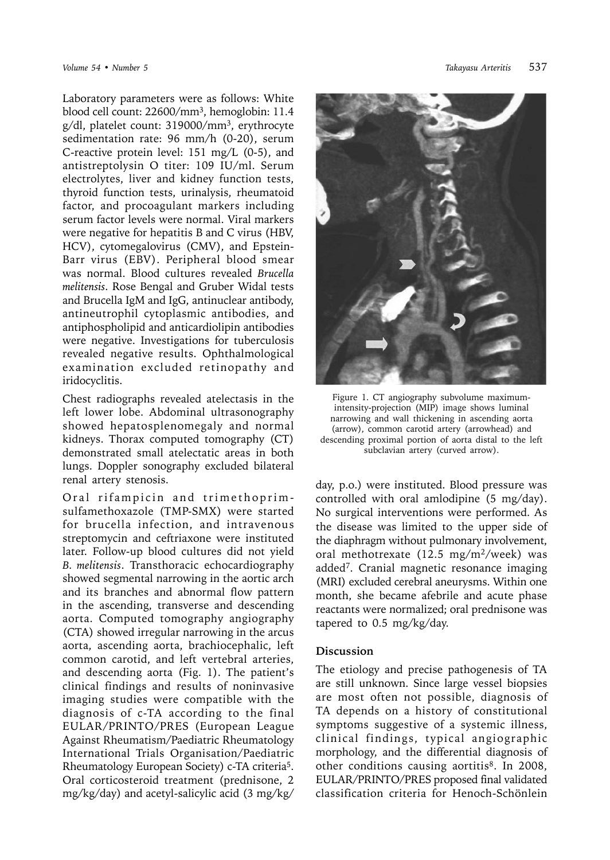Laboratory parameters were as follows: White blood cell count: 22600/mm3, hemoglobin: 11.4 g/dl, platelet count: 319000/mm3, erythrocyte sedimentation rate: 96 mm/h (0-20), serum C-reactive protein level: 151 mg/L (0-5), and antistreptolysin O titer: 109 IU/ml. Serum electrolytes, liver and kidney function tests, thyroid function tests, urinalysis, rheumatoid factor, and procoagulant markers including serum factor levels were normal. Viral markers were negative for hepatitis B and C virus (HBV, HCV), cytomegalovirus (CMV), and Epstein-Barr virus (EBV). Peripheral blood smear was normal. Blood cultures revealed *Brucella melitensis*. Rose Bengal and Gruber Widal tests and Brucella IgM and IgG, antinuclear antibody, antineutrophil cytoplasmic antibodies, and antiphospholipid and anticardiolipin antibodies were negative. Investigations for tuberculosis revealed negative results. Ophthalmological examination excluded retinopathy and iridocyclitis.

Chest radiographs revealed atelectasis in the left lower lobe. Abdominal ultrasonography showed hepatosplenomegaly and normal kidneys. Thorax computed tomography (CT) demonstrated small atelectatic areas in both lungs. Doppler sonography excluded bilateral renal artery stenosis.

Oral rifampicin and trimethoprimsulfamethoxazole (TMP-SMX) were started for brucella infection, and intravenous streptomycin and ceftriaxone were instituted later. Follow-up blood cultures did not yield *B. melitensis*. Transthoracic echocardiography showed segmental narrowing in the aortic arch and its branches and abnormal flow pattern in the ascending, transverse and descending aorta. Computed tomography angiography (CTA) showed irregular narrowing in the arcus aorta, ascending aorta, brachiocephalic, left common carotid, and left vertebral arteries, and descending aorta (Fig. 1). The patient's clinical findings and results of noninvasive imaging studies were compatible with the diagnosis of c-TA according to the final EULAR/PRINTO/PRES (European League Against Rheumatism/Paediatric Rheumatology International Trials Organisation/Paediatric Rheumatology European Society) c-TA criteria5. Oral corticosteroid treatment (prednisone, 2 mg/kg/day) and acetyl-salicylic acid (3 mg/kg/



Figure 1. CT angiography subvolume maximumintensity-projection (MIP) image shows luminal narrowing and wall thickening in ascending aorta (arrow), common carotid artery (arrowhead) and descending proximal portion of aorta distal to the left subclavian artery (curved arrow).

day, p.o.) were instituted. Blood pressure was controlled with oral amlodipine (5 mg/day). No surgical interventions were performed. As the disease was limited to the upper side of the diaphragm without pulmonary involvement, oral methotrexate (12.5 mg/m<sup>2</sup>/week) was added7. Cranial magnetic resonance imaging (MRI) excluded cerebral aneurysms. Within one month, she became afebrile and acute phase reactants were normalized; oral prednisone was tapered to 0.5 mg/kg/day.

## **Discussion**

The etiology and precise pathogenesis of TA are still unknown. Since large vessel biopsies are most often not possible, diagnosis of TA depends on a history of constitutional symptoms suggestive of a systemic illness, clinical findings, typical angiographic morphology, and the differential diagnosis of other conditions causing aortitis<sup>8</sup>. In 2008, EULAR/PRINTO/PRES proposed final validated classification criteria for Henoch-Schönlein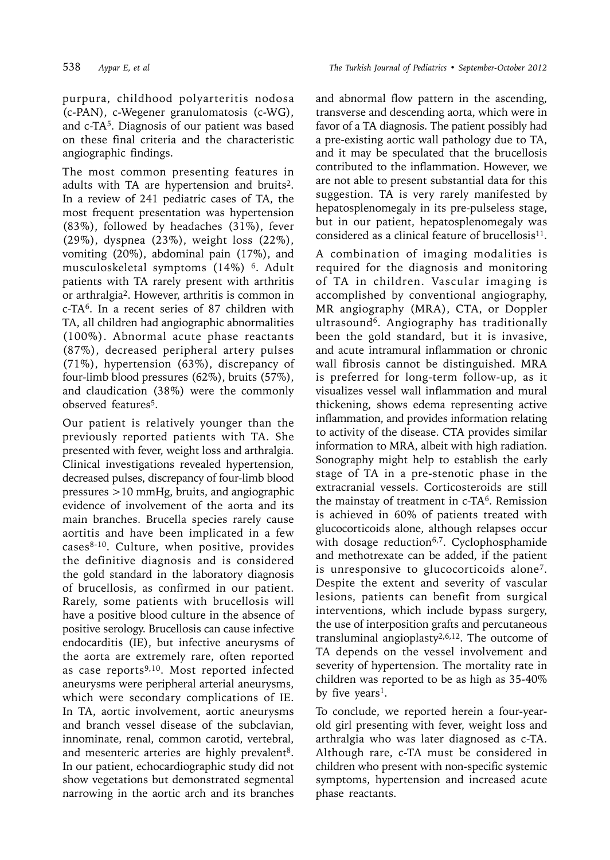purpura, childhood polyarteritis nodosa (c-PAN), c-Wegener granulomatosis (c-WG), and c-TA5. Diagnosis of our patient was based on these final criteria and the characteristic angiographic findings.

The most common presenting features in adults with TA are hypertension and bruits2. In a review of 241 pediatric cases of TA, the most frequent presentation was hypertension (83%), followed by headaches (31%), fever (29%), dyspnea (23%), weight loss (22%), vomiting (20%), abdominal pain (17%), and musculoskeletal symptoms (14%) 6. Adult patients with TA rarely present with arthritis or arthralgia2. However, arthritis is common in c-TA6. In a recent series of 87 children with TA, all children had angiographic abnormalities (100%). Abnormal acute phase reactants (87%), decreased peripheral artery pulses (71%), hypertension (63%), discrepancy of four-limb blood pressures (62%), bruits (57%), and claudication (38%) were the commonly observed features<sup>5</sup>.

Our patient is relatively younger than the previously reported patients with TA. She presented with fever, weight loss and arthralgia. Clinical investigations revealed hypertension, decreased pulses, discrepancy of four-limb blood pressures >10 mmHg, bruits, and angiographic evidence of involvement of the aorta and its main branches. Brucella species rarely cause aortitis and have been implicated in a few cases $8-10$ . Culture, when positive, provides the definitive diagnosis and is considered the gold standard in the laboratory diagnosis of brucellosis, as confirmed in our patient. Rarely, some patients with brucellosis will have a positive blood culture in the absence of positive serology. Brucellosis can cause infective endocarditis (IE), but infective aneurysms of the aorta are extremely rare, often reported as case reports<sup>9,10</sup>. Most reported infected aneurysms were peripheral arterial aneurysms, which were secondary complications of IE. In TA, aortic involvement, aortic aneurysms and branch vessel disease of the subclavian, innominate, renal, common carotid, vertebral, and mesenteric arteries are highly prevalent<sup>8</sup>. In our patient, echocardiographic study did not show vegetations but demonstrated segmental narrowing in the aortic arch and its branches

and abnormal flow pattern in the ascending, transverse and descending aorta, which were in favor of a TA diagnosis. The patient possibly had a pre-existing aortic wall pathology due to TA, and it may be speculated that the brucellosis contributed to the inflammation. However, we are not able to present substantial data for this suggestion. TA is very rarely manifested by hepatosplenomegaly in its pre-pulseless stage, but in our patient, hepatosplenomegaly was considered as a clinical feature of brucellosis $^{11}$ .

A combination of imaging modalities is required for the diagnosis and monitoring of TA in children. Vascular imaging is accomplished by conventional angiography, MR angiography (MRA), CTA, or Doppler ultrasound6. Angiography has traditionally been the gold standard, but it is invasive, and acute intramural inflammation or chronic wall fibrosis cannot be distinguished. MRA is preferred for long-term follow-up, as it visualizes vessel wall inflammation and mural thickening, shows edema representing active inflammation, and provides information relating to activity of the disease. CTA provides similar information to MRA, albeit with high radiation. Sonography might help to establish the early stage of TA in a pre-stenotic phase in the extracranial vessels. Corticosteroids are still the mainstay of treatment in c-TA6. Remission is achieved in 60% of patients treated with glucocorticoids alone, although relapses occur with dosage reduction<sup>6,7</sup>. Cyclophosphamide and methotrexate can be added, if the patient is unresponsive to glucocorticoids alone7. Despite the extent and severity of vascular lesions, patients can benefit from surgical interventions, which include bypass surgery, the use of interposition grafts and percutaneous transluminal angioplasty<sup>2,6,12</sup>. The outcome of TA depends on the vessel involvement and severity of hypertension. The mortality rate in children was reported to be as high as 35-40% by five years<sup>1</sup>.

To conclude, we reported herein a four-yearold girl presenting with fever, weight loss and arthralgia who was later diagnosed as c-TA. Although rare, c-TA must be considered in children who present with non-specific systemic symptoms, hypertension and increased acute phase reactants.